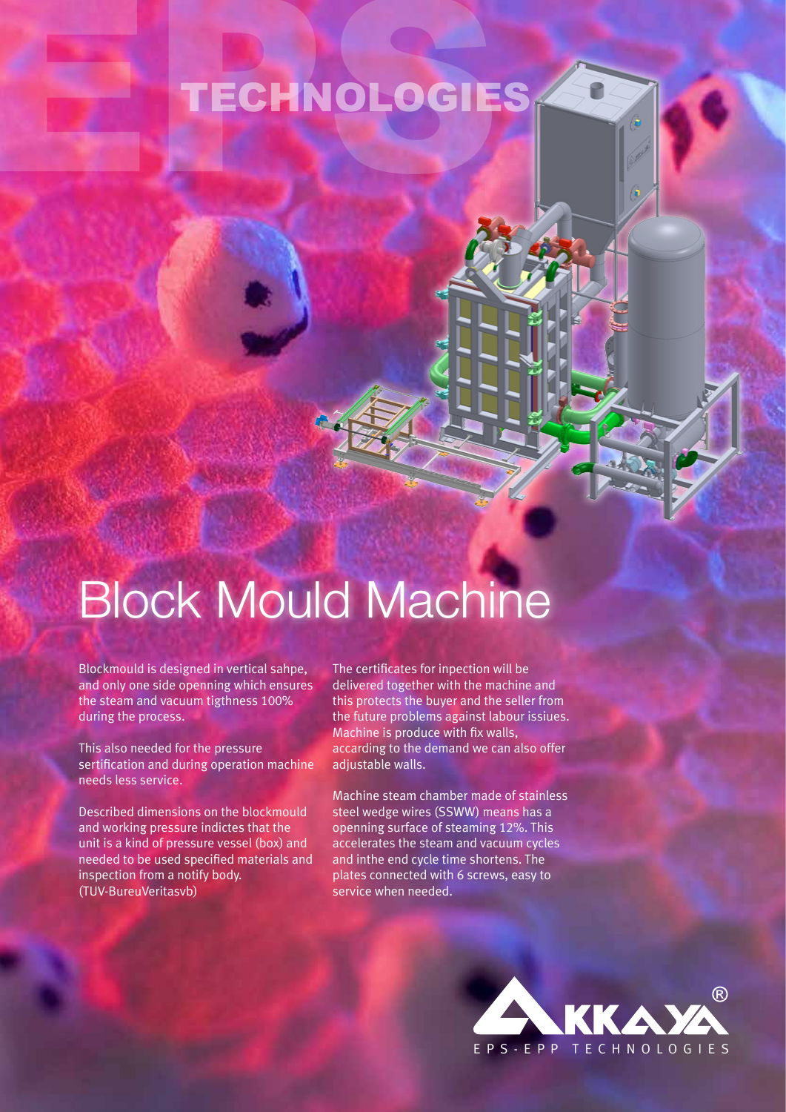# TECHNOLOGIES

# Block Mould Machine

Blockmould is designed in vertical sahpe, and only one side openning which ensures the steam and vacuum tigthness 100% during the process.

This also needed for the pressure sertification and during operation machine needs less service.

Described dimensions on the blockmould and working pressure indictes that the unit is a kind of pressure vessel (box) and needed to be used specified materials and inspection from a notify body. (TUV-BureuVeritasvb)

The certificates for inpection will be delivered together with the machine and this protects the buyer and the seller from the future problems against labour issiues. Machine is produce with fix walls, accarding to the demand we can also offer adjustable walls.

Machine steam chamber made of stainless steel wedge wires (SSWW) means has a openning surface of steaming 12%. This accelerates the steam and vacuum cycles and inthe end cycle time shortens. The plates connected with 6 screws, easy to service when needed.